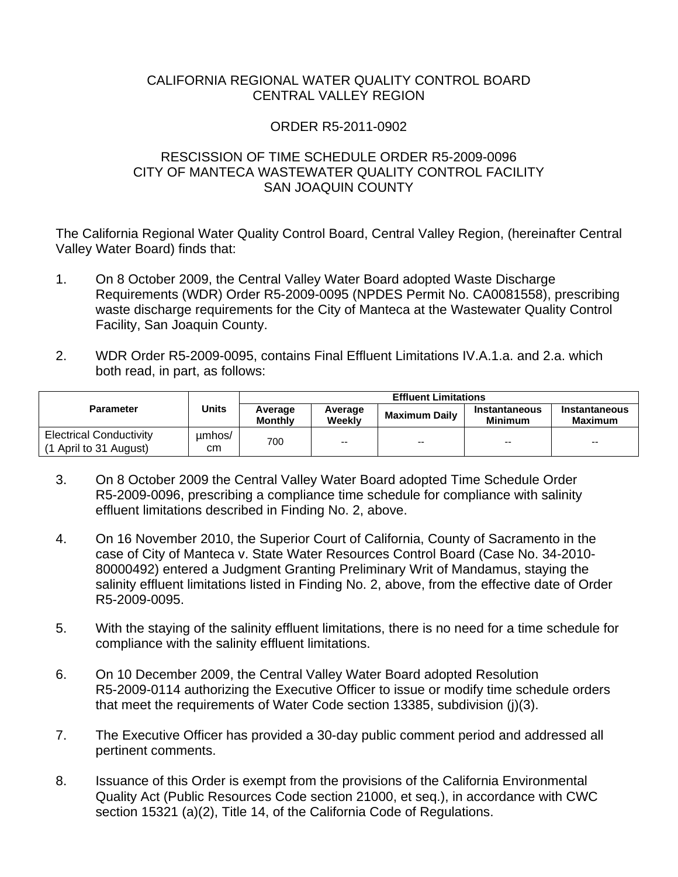## CALIFORNIA REGIONAL WATER QUALITY CONTROL BOARD CENTRAL VALLEY REGION

## ORDER R5-2011-0902

## RESCISSION OF TIME SCHEDULE ORDER R5-2009-0096 CITY OF MANTECA WASTEWATER QUALITY CONTROL FACILITY SAN JOAQUIN COUNTY

The California Regional Water Quality Control Board, Central Valley Region, (hereinafter Central Valley Water Board) finds that:

- 1. On 8 October 2009, the Central Valley Water Board adopted Waste Discharge Requirements (WDR) Order R5-2009-0095 (NPDES Permit No. CA0081558), prescribing waste discharge requirements for the City of Manteca at the Wastewater Quality Control Facility, San Joaquin County.
- 2. WDR Order R5-2009-0095, contains Final Effluent Limitations IV.A.1.a. and 2.a. which both read, in part, as follows:

| <b>Parameter</b>                                         | Units        | <b>Effluent Limitations</b> |                   |                      |                                 |                                 |
|----------------------------------------------------------|--------------|-----------------------------|-------------------|----------------------|---------------------------------|---------------------------------|
|                                                          |              | Average<br>Monthly          | Average<br>Weekly | <b>Maximum Daily</b> | Instantaneous<br><b>Minimum</b> | Instantaneous<br><b>Maximum</b> |
| <b>Electrical Conductivity</b><br>(1 April to 31 August) | umhos/<br>cm | 700                         | $-$               | $-$                  | --                              | --                              |

- 3. On 8 October 2009 the Central Valley Water Board adopted Time Schedule Order R5-2009-0096, prescribing a compliance time schedule for compliance with salinity effluent limitations described in Finding No. 2, above.
- 4. On 16 November 2010, the Superior Court of California, County of Sacramento in the case of City of Manteca v. State Water Resources Control Board (Case No. 34-2010- 80000492) entered a Judgment Granting Preliminary Writ of Mandamus, staying the salinity effluent limitations listed in Finding No. 2, above, from the effective date of Order R5-2009-0095.
- 5. With the staying of the salinity effluent limitations, there is no need for a time schedule for compliance with the salinity effluent limitations.
- 6. On 10 December 2009, the Central Valley Water Board adopted Resolution R5-2009-0114 authorizing the Executive Officer to issue or modify time schedule orders that meet the requirements of Water Code section 13385, subdivision (j)(3).
- 7. The Executive Officer has provided a 30-day public comment period and addressed all pertinent comments.
- 8. Issuance of this Order is exempt from the provisions of the California Environmental Quality Act (Public Resources Code section 21000, et seq.), in accordance with CWC section 15321 (a)(2), Title 14, of the California Code of Regulations.